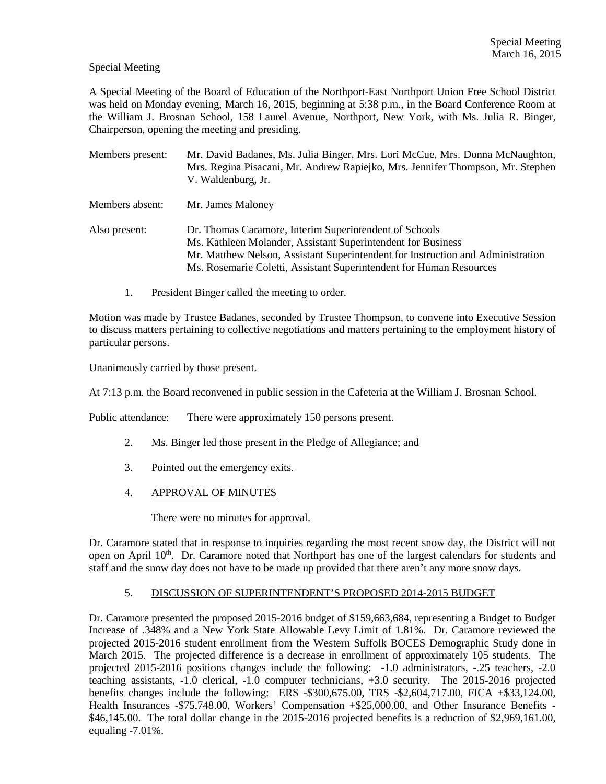#### Special Meeting

A Special Meeting of the Board of Education of the Northport-East Northport Union Free School District was held on Monday evening, March 16, 2015, beginning at 5:38 p.m., in the Board Conference Room at the William J. Brosnan School, 158 Laurel Avenue, Northport, New York, with Ms. Julia R. Binger, Chairperson, opening the meeting and presiding.

| Members present: | Mr. David Badanes, Ms. Julia Binger, Mrs. Lori McCue, Mrs. Donna McNaughton,<br>Mrs. Regina Pisacani, Mr. Andrew Rapiejko, Mrs. Jennifer Thompson, Mr. Stephen<br>V. Waldenburg, Jr.                                                                                             |
|------------------|----------------------------------------------------------------------------------------------------------------------------------------------------------------------------------------------------------------------------------------------------------------------------------|
| Members absent:  | Mr. James Maloney                                                                                                                                                                                                                                                                |
| Also present:    | Dr. Thomas Caramore, Interim Superintendent of Schools<br>Ms. Kathleen Molander, Assistant Superintendent for Business<br>Mr. Matthew Nelson, Assistant Superintendent for Instruction and Administration<br>Ms. Rosemarie Coletti, Assistant Superintendent for Human Resources |

1. President Binger called the meeting to order.

Motion was made by Trustee Badanes, seconded by Trustee Thompson, to convene into Executive Session to discuss matters pertaining to collective negotiations and matters pertaining to the employment history of particular persons.

Unanimously carried by those present.

At 7:13 p.m. the Board reconvened in public session in the Cafeteria at the William J. Brosnan School.

Public attendance: There were approximately 150 persons present.

- 2. Ms. Binger led those present in the Pledge of Allegiance; and
- 3. Pointed out the emergency exits.
- 4. APPROVAL OF MINUTES

There were no minutes for approval.

Dr. Caramore stated that in response to inquiries regarding the most recent snow day, the District will not open on April 10<sup>th</sup>. Dr. Caramore noted that Northport has one of the largest calendars for students and staff and the snow day does not have to be made up provided that there aren't any more snow days.

#### 5. DISCUSSION OF SUPERINTENDENT'S PROPOSED 2014-2015 BUDGET

Dr. Caramore presented the proposed 2015-2016 budget of \$159,663,684, representing a Budget to Budget Increase of .348% and a New York State Allowable Levy Limit of 1.81%. Dr. Caramore reviewed the projected 2015-2016 student enrollment from the Western Suffolk BOCES Demographic Study done in March 2015. The projected difference is a decrease in enrollment of approximately 105 students. The projected 2015-2016 positions changes include the following: -1.0 administrators, -.25 teachers, -2.0 teaching assistants, -1.0 clerical, -1.0 computer technicians, +3.0 security. The 2015-2016 projected benefits changes include the following: ERS -\$300,675.00, TRS -\$2,604,717.00, FICA +\$33,124.00, Health Insurances -\$75,748.00, Workers' Compensation +\$25,000.00, and Other Insurance Benefits -\$46,145.00. The total dollar change in the 2015-2016 projected benefits is a reduction of \$2,969,161.00, equaling -7.01%.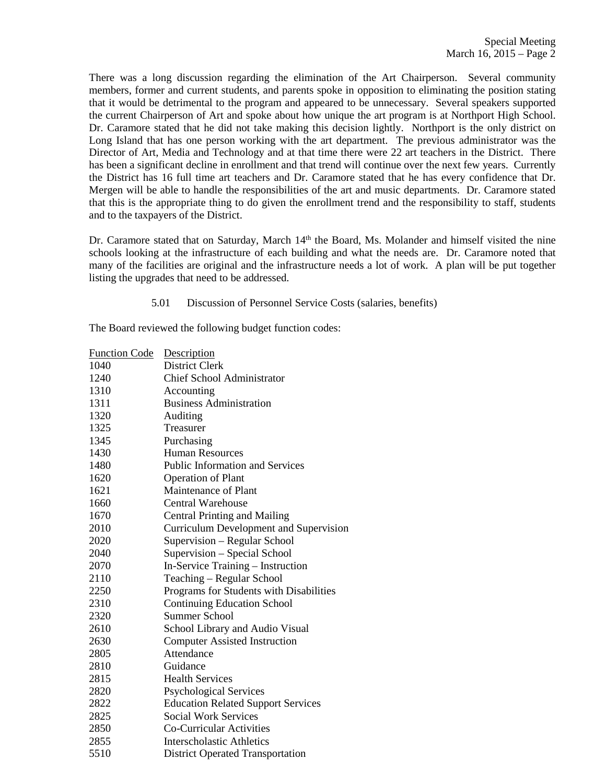There was a long discussion regarding the elimination of the Art Chairperson. Several community members, former and current students, and parents spoke in opposition to eliminating the position stating that it would be detrimental to the program and appeared to be unnecessary. Several speakers supported the current Chairperson of Art and spoke about how unique the art program is at Northport High School. Dr. Caramore stated that he did not take making this decision lightly. Northport is the only district on Long Island that has one person working with the art department. The previous administrator was the Director of Art, Media and Technology and at that time there were 22 art teachers in the District. There has been a significant decline in enrollment and that trend will continue over the next few years. Currently the District has 16 full time art teachers and Dr. Caramore stated that he has every confidence that Dr. Mergen will be able to handle the responsibilities of the art and music departments. Dr. Caramore stated that this is the appropriate thing to do given the enrollment trend and the responsibility to staff, students and to the taxpayers of the District.

Dr. Caramore stated that on Saturday, March 14<sup>th</sup> the Board, Ms. Molander and himself visited the nine schools looking at the infrastructure of each building and what the needs are. Dr. Caramore noted that many of the facilities are original and the infrastructure needs a lot of work. A plan will be put together listing the upgrades that need to be addressed.

5.01 Discussion of Personnel Service Costs (salaries, benefits)

The Board reviewed the following budget function codes:

| <b>Function Code</b> | Description                                   |
|----------------------|-----------------------------------------------|
| 1040                 | District Clerk                                |
| 1240                 | <b>Chief School Administrator</b>             |
| 1310                 | Accounting                                    |
| 1311                 | <b>Business Administration</b>                |
| 1320                 | Auditing                                      |
| 1325                 | Treasurer                                     |
| 1345                 | Purchasing                                    |
| 1430                 | <b>Human Resources</b>                        |
| 1480                 | <b>Public Information and Services</b>        |
| 1620                 | <b>Operation of Plant</b>                     |
| 1621                 | <b>Maintenance of Plant</b>                   |
| 1660                 | <b>Central Warehouse</b>                      |
| 1670                 | <b>Central Printing and Mailing</b>           |
| 2010                 | <b>Curriculum Development and Supervision</b> |
| 2020                 | Supervision - Regular School                  |
| 2040                 | Supervision - Special School                  |
| 2070                 | In-Service Training - Instruction             |
| 2110                 | Teaching - Regular School                     |
| 2250                 | Programs for Students with Disabilities       |
| 2310                 | <b>Continuing Education School</b>            |
| 2320                 | <b>Summer School</b>                          |
| 2610                 | School Library and Audio Visual               |
| 2630                 | <b>Computer Assisted Instruction</b>          |
| 2805                 | Attendance                                    |
| 2810                 | Guidance                                      |
| 2815                 | <b>Health Services</b>                        |
| 2820                 | <b>Psychological Services</b>                 |
| 2822                 | <b>Education Related Support Services</b>     |
| 2825                 | <b>Social Work Services</b>                   |
| 2850                 | Co-Curricular Activities                      |
| 2855                 | <b>Interscholastic Athletics</b>              |
| 5510                 | <b>District Operated Transportation</b>       |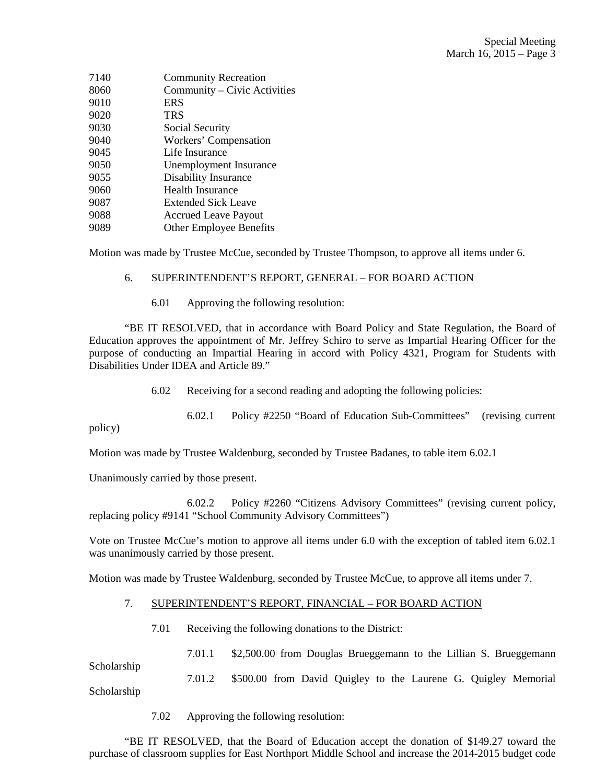| 7140 | <b>Community Recreation</b>    |
|------|--------------------------------|
| 8060 | Community - Civic Activities   |
| 9010 | <b>ERS</b>                     |
| 9020 | <b>TRS</b>                     |
| 9030 | Social Security                |
| 9040 | Workers' Compensation          |
| 9045 | Life Insurance                 |
| 9050 | Unemployment Insurance         |
| 9055 | Disability Insurance           |
| 9060 | Health Insurance               |
| 9087 | <b>Extended Sick Leave</b>     |
| 9088 | <b>Accrued Leave Payout</b>    |
| 9089 | <b>Other Employee Benefits</b> |
|      |                                |

Motion was made by Trustee McCue, seconded by Trustee Thompson, to approve all items under 6.

#### 6. SUPERINTENDENT'S REPORT, GENERAL – FOR BOARD ACTION

6.01 Approving the following resolution:

 "BE IT RESOLVED, that in accordance with Board Policy and State Regulation, the Board of Education approves the appointment of Mr. Jeffrey Schiro to serve as Impartial Hearing Officer for the purpose of conducting an Impartial Hearing in accord with Policy 4321, Program for Students with Disabilities Under IDEA and Article 89."

6.02 Receiving for a second reading and adopting the following policies:

 6.02.1 Policy #2250 "Board of Education Sub-Committees" (revising current policy)

Motion was made by Trustee Waldenburg, seconded by Trustee Badanes, to table item 6.02.1

Unanimously carried by those present.

 6.02.2 Policy #2260 "Citizens Advisory Committees" (revising current policy, replacing policy #9141 "School Community Advisory Committees")

Vote on Trustee McCue's motion to approve all items under 6.0 with the exception of tabled item 6.02.1 was unanimously carried by those present.

Motion was made by Trustee Waldenburg, seconded by Trustee McCue, to approve all items under 7.

## 7. SUPERINTENDENT'S REPORT, FINANCIAL – FOR BOARD ACTION

7.01 Receiving the following donations to the District:

7.01.1 \$2,500.00 from Douglas Brueggemann to the Lillian S. Brueggemann

7.01.2 \$500.00 from David Quigley to the Laurene G. Quigley Memorial

Scholarship

Scholarship

7.02 Approving the following resolution:

 "BE IT RESOLVED, that the Board of Education accept the donation of \$149.27 toward the purchase of classroom supplies for East Northport Middle School and increase the 2014-2015 budget code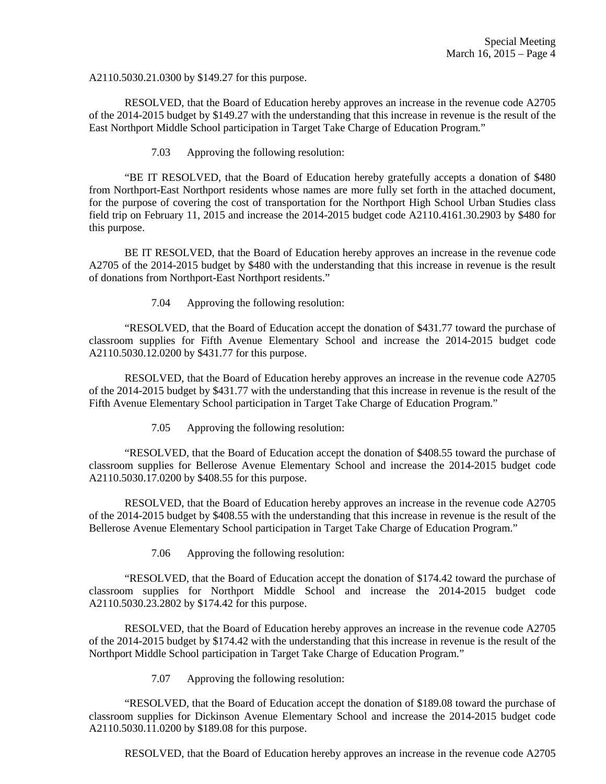A2110.5030.21.0300 by \$149.27 for this purpose.

 RESOLVED, that the Board of Education hereby approves an increase in the revenue code A2705 of the 2014-2015 budget by \$149.27 with the understanding that this increase in revenue is the result of the East Northport Middle School participation in Target Take Charge of Education Program."

7.03 Approving the following resolution:

 "BE IT RESOLVED, that the Board of Education hereby gratefully accepts a donation of \$480 from Northport-East Northport residents whose names are more fully set forth in the attached document, for the purpose of covering the cost of transportation for the Northport High School Urban Studies class field trip on February 11, 2015 and increase the 2014-2015 budget code A2110.4161.30.2903 by \$480 for this purpose.

 BE IT RESOLVED, that the Board of Education hereby approves an increase in the revenue code A2705 of the 2014-2015 budget by \$480 with the understanding that this increase in revenue is the result of donations from Northport-East Northport residents."

7.04 Approving the following resolution:

 "RESOLVED, that the Board of Education accept the donation of \$431.77 toward the purchase of classroom supplies for Fifth Avenue Elementary School and increase the 2014-2015 budget code A2110.5030.12.0200 by \$431.77 for this purpose.

 RESOLVED, that the Board of Education hereby approves an increase in the revenue code A2705 of the 2014-2015 budget by \$431.77 with the understanding that this increase in revenue is the result of the Fifth Avenue Elementary School participation in Target Take Charge of Education Program."

7.05 Approving the following resolution:

 "RESOLVED, that the Board of Education accept the donation of \$408.55 toward the purchase of classroom supplies for Bellerose Avenue Elementary School and increase the 2014-2015 budget code A2110.5030.17.0200 by \$408.55 for this purpose.

 RESOLVED, that the Board of Education hereby approves an increase in the revenue code A2705 of the 2014-2015 budget by \$408.55 with the understanding that this increase in revenue is the result of the Bellerose Avenue Elementary School participation in Target Take Charge of Education Program."

7.06 Approving the following resolution:

 "RESOLVED, that the Board of Education accept the donation of \$174.42 toward the purchase of classroom supplies for Northport Middle School and increase the 2014-2015 budget code A2110.5030.23.2802 by \$174.42 for this purpose.

 RESOLVED, that the Board of Education hereby approves an increase in the revenue code A2705 of the 2014-2015 budget by \$174.42 with the understanding that this increase in revenue is the result of the Northport Middle School participation in Target Take Charge of Education Program."

7.07 Approving the following resolution:

 "RESOLVED, that the Board of Education accept the donation of \$189.08 toward the purchase of classroom supplies for Dickinson Avenue Elementary School and increase the 2014-2015 budget code A2110.5030.11.0200 by \$189.08 for this purpose.

RESOLVED, that the Board of Education hereby approves an increase in the revenue code A2705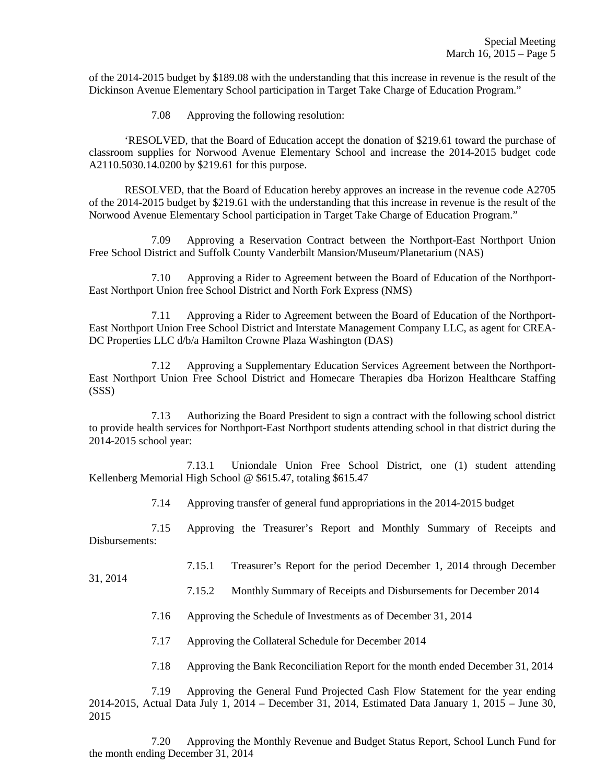of the 2014-2015 budget by \$189.08 with the understanding that this increase in revenue is the result of the Dickinson Avenue Elementary School participation in Target Take Charge of Education Program."

7.08 Approving the following resolution:

 'RESOLVED, that the Board of Education accept the donation of \$219.61 toward the purchase of classroom supplies for Norwood Avenue Elementary School and increase the 2014-2015 budget code A2110.5030.14.0200 by \$219.61 for this purpose.

 RESOLVED, that the Board of Education hereby approves an increase in the revenue code A2705 of the 2014-2015 budget by \$219.61 with the understanding that this increase in revenue is the result of the Norwood Avenue Elementary School participation in Target Take Charge of Education Program."

 7.09 Approving a Reservation Contract between the Northport-East Northport Union Free School District and Suffolk County Vanderbilt Mansion/Museum/Planetarium (NAS)

 7.10 Approving a Rider to Agreement between the Board of Education of the Northport-East Northport Union free School District and North Fork Express (NMS)

 7.11 Approving a Rider to Agreement between the Board of Education of the Northport-East Northport Union Free School District and Interstate Management Company LLC, as agent for CREA-DC Properties LLC d/b/a Hamilton Crowne Plaza Washington (DAS)

 7.12 Approving a Supplementary Education Services Agreement between the Northport-East Northport Union Free School District and Homecare Therapies dba Horizon Healthcare Staffing (SSS)

 7.13 Authorizing the Board President to sign a contract with the following school district to provide health services for Northport-East Northport students attending school in that district during the 2014-2015 school year:

 7.13.1 Uniondale Union Free School District, one (1) student attending Kellenberg Memorial High School @ \$615.47, totaling \$615.47

7.14 Approving transfer of general fund appropriations in the 2014-2015 budget

 7.15 Approving the Treasurer's Report and Monthly Summary of Receipts and Disbursements:

7.15.1 Treasurer's Report for the period December 1, 2014 through December

31, 2014

7.15.2 Monthly Summary of Receipts and Disbursements for December 2014

7.16 Approving the Schedule of Investments as of December 31, 2014

7.17 Approving the Collateral Schedule for December 2014

7.18 Approving the Bank Reconciliation Report for the month ended December 31, 2014

 7.19 Approving the General Fund Projected Cash Flow Statement for the year ending 2014-2015, Actual Data July 1, 2014 – December 31, 2014, Estimated Data January 1, 2015 – June 30, 2015

 7.20 Approving the Monthly Revenue and Budget Status Report, School Lunch Fund for the month ending December 31, 2014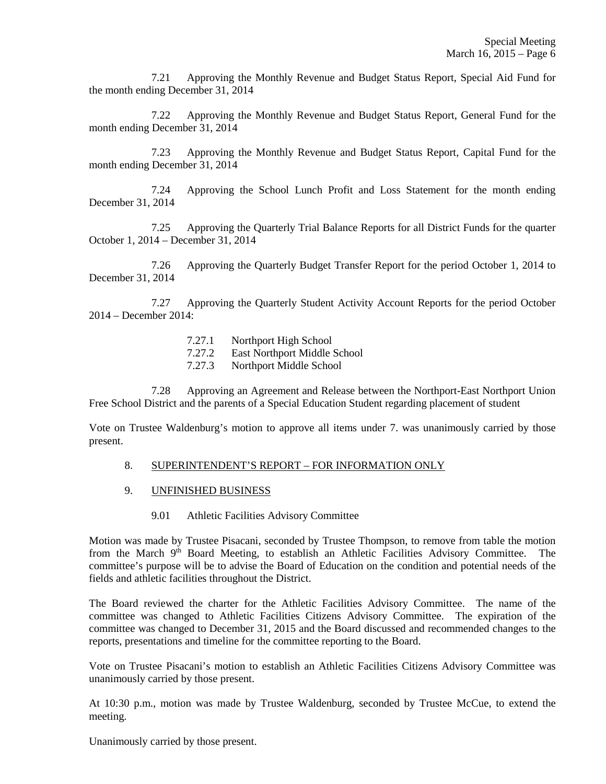7.21 Approving the Monthly Revenue and Budget Status Report, Special Aid Fund for the month ending December 31, 2014

 7.22 Approving the Monthly Revenue and Budget Status Report, General Fund for the month ending December 31, 2014

 7.23 Approving the Monthly Revenue and Budget Status Report, Capital Fund for the month ending December 31, 2014

 7.24 Approving the School Lunch Profit and Loss Statement for the month ending December 31, 2014

 7.25 Approving the Quarterly Trial Balance Reports for all District Funds for the quarter October 1, 2014 – December 31, 2014

 7.26 Approving the Quarterly Budget Transfer Report for the period October 1, 2014 to December 31, 2014

 7.27 Approving the Quarterly Student Activity Account Reports for the period October 2014 – December 2014:

- 7.27.1 Northport High School
- 7.27.2 East Northport Middle School
- 7.27.3 Northport Middle School

 7.28 Approving an Agreement and Release between the Northport-East Northport Union Free School District and the parents of a Special Education Student regarding placement of student

Vote on Trustee Waldenburg's motion to approve all items under 7. was unanimously carried by those present.

## 8. SUPERINTENDENT'S REPORT – FOR INFORMATION ONLY

- 9. UNFINISHED BUSINESS
	- 9.01 Athletic Facilities Advisory Committee

Motion was made by Trustee Pisacani, seconded by Trustee Thompson, to remove from table the motion from the March 9<sup>th</sup> Board Meeting, to establish an Athletic Facilities Advisory Committee. The committee's purpose will be to advise the Board of Education on the condition and potential needs of the fields and athletic facilities throughout the District.

The Board reviewed the charter for the Athletic Facilities Advisory Committee. The name of the committee was changed to Athletic Facilities Citizens Advisory Committee. The expiration of the committee was changed to December 31, 2015 and the Board discussed and recommended changes to the reports, presentations and timeline for the committee reporting to the Board.

Vote on Trustee Pisacani's motion to establish an Athletic Facilities Citizens Advisory Committee was unanimously carried by those present.

At 10:30 p.m., motion was made by Trustee Waldenburg, seconded by Trustee McCue, to extend the meeting.

Unanimously carried by those present.